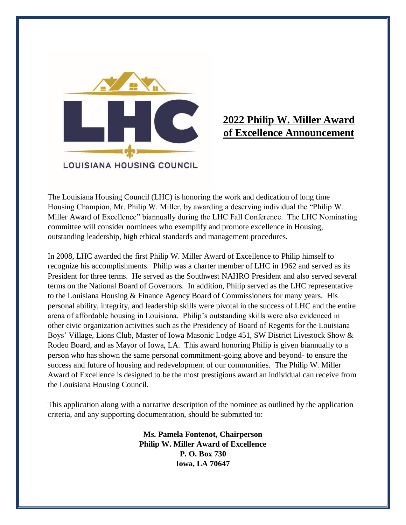

# **2022 Philip W. Miller Award of Excellence Announcement**

The Louisiana Housing Council (LHC) is honoring the work and dedication of long time Housing Champion, Mr. Philip W. Miller, by awarding a deserving individual the "Philip W. Miller Award of Excellence" biannually during the LHC Fall Conference. The LHC Nominating committee will consider nominees who exemplify and promote excellence in Housing, outstanding leadership, high ethical standards and management procedures.

In 2008, LHC awarded the first Philip W. Miller Award of Excellence to Philip himself to recognize his accomplishments. Philip was a charter member of LHC in 1962 and served as its President for three terms. He served as the Southwest NAHRO President and also served several terms on the National Board of Governors. In addition, Philip served as the LHC representative to the Louisiana Housing & Finance Agency Board of Commissioners for many years. His personal ability, integrity, and leadership skills were pivotal in the success of LHC and the entire arena of affordable housing in Louisiana. Philip's outstanding skills were also evidenced in other civic organization activities such as the Presidency of Board of Regents for the Louisiana Boys' Village, Lions Club, Master of Iowa Masonic Lodge 451, SW District Livestock Show & Rodeo Board, and as Mayor of Iowa, LA. This award honoring Philip is given biannually to a person who has shown the same personal commitment-going above and beyond- to ensure the success and future of housing and redevelopment of our communities. The Philip W. Miller Award of Excellence is designed to be the most prestigious award an individual can receive from the Louisiana Housing Council.

This application along with a narrative description of the nominee as outlined by the application criteria, and any supporting documentation, should be submitted to:

> **Ms. Pamela Fontenot, Chairperson Philip W. Miller Award of Excellence P. O. Box 730 Iowa, LA 70647**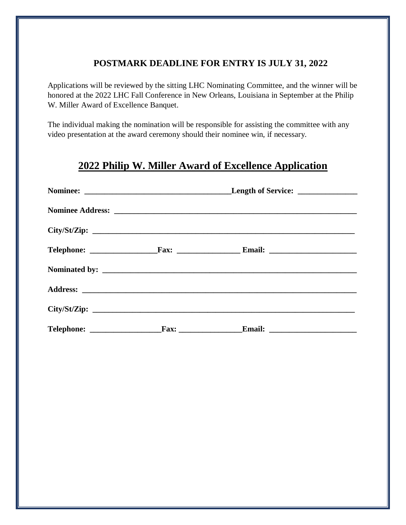# **POSTMARK DEADLINE FOR ENTRY IS JULY 31, 2022**

Applications will be reviewed by the sitting LHC Nominating Committee, and the winner will be honored at the 2022 LHC Fall Conference in New Orleans, Louisiana in September at the Philip W. Miller Award of Excellence Banquet.

The individual making the nomination will be responsible for assisting the committee with any video presentation at the award ceremony should their nominee win, if necessary.

# **2022 Philip W. Miller Award of Excellence Application**

|  | Length of Service: _______________ |  |
|--|------------------------------------|--|
|  |                                    |  |
|  | City/St/Zip:                       |  |
|  |                                    |  |
|  |                                    |  |
|  |                                    |  |
|  | City/St/Zip:                       |  |
|  |                                    |  |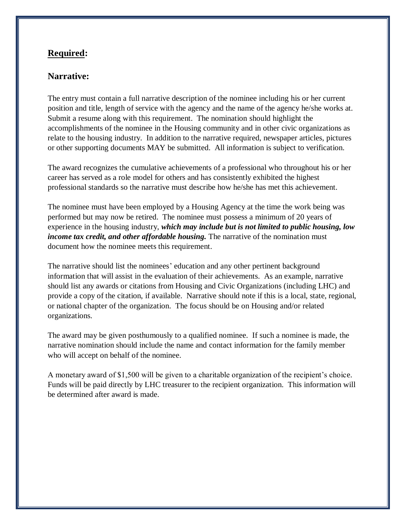### **Required:**

#### **Narrative:**

The entry must contain a full narrative description of the nominee including his or her current position and title, length of service with the agency and the name of the agency he/she works at. Submit a resume along with this requirement. The nomination should highlight the accomplishments of the nominee in the Housing community and in other civic organizations as relate to the housing industry. In addition to the narrative required, newspaper articles, pictures or other supporting documents MAY be submitted. All information is subject to verification.

The award recognizes the cumulative achievements of a professional who throughout his or her career has served as a role model for others and has consistently exhibited the highest professional standards so the narrative must describe how he/she has met this achievement.

The nominee must have been employed by a Housing Agency at the time the work being was performed but may now be retired. The nominee must possess a minimum of 20 years of experience in the housing industry, *which may include but is not limited to public housing, low income tax credit, and other affordable housing.* The narrative of the nomination must document how the nominee meets this requirement.

The narrative should list the nominees' education and any other pertinent background information that will assist in the evaluation of their achievements. As an example, narrative should list any awards or citations from Housing and Civic Organizations (including LHC) and provide a copy of the citation, if available. Narrative should note if this is a local, state, regional, or national chapter of the organization. The focus should be on Housing and/or related organizations.

The award may be given posthumously to a qualified nominee. If such a nominee is made, the narrative nomination should include the name and contact information for the family member who will accept on behalf of the nominee.

A monetary award of \$1,500 will be given to a charitable organization of the recipient's choice. Funds will be paid directly by LHC treasurer to the recipient organization. This information will be determined after award is made.